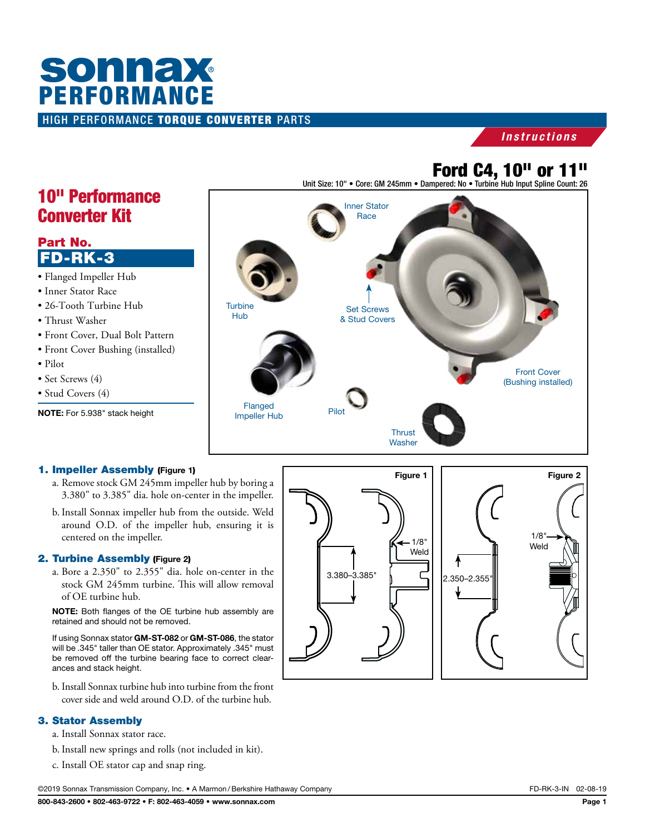## HIGH PERFORMANCE TORQUE CONVERTER PARTS **SONNAX**<br>PERFORMANCE

*Instructions*

Unit Size: 10" • Core: GM 245mm • Dampered: No • Turbine Hub Input Spline Count: 26



### 10" Performance Converter Kit

#### Part No. FD-RK-3

- Flanged Impeller Hub
- Inner Stator Race
- 26-Tooth Turbine Hub
- Thrust Washer
- Front Cover, Dual Bolt Pattern
- Front Cover Bushing (installed)
- Pilot
- Set Screws (4)
- Stud Covers (4)

NOTE: For 5.938" stack height

#### 1. Impeller Assembly (Figure 1)

- a. Remove stock GM 245mm impeller hub by boring a 3.380" to 3.385" dia. hole on-center in the impeller.
- b.Install Sonnax impeller hub from the outside. Weld around O.D. of the impeller hub, ensuring it is centered on the impeller.

#### 2. Turbine Assembly (Figure 2)

a. Bore a 2.350" to 2.355" dia. hole on-center in the stock GM 245mm turbine. This will allow removal of OE turbine hub.

NOTE: Both flanges of the OE turbine hub assembly are retained and should not be removed.

If using Sonnax stator GM-ST-082 or GM-ST-086, the stator will be .345" taller than OE stator. Approximately .345" must be removed off the turbine bearing face to correct clearances and stack height.

b. Install Sonnax turbine hub into turbine from the front cover side and weld around O.D. of the turbine hub.

#### 3. Stator Assembly

- a. Install Sonnax stator race.
- b.Install new springs and rolls (not included in kit).
- c. Install OE stator cap and snap ring.



©2019 Sonnax Transmission Company, Inc. • A Marmon /Berkshire Hathaway Company FD-RK-3-IN 02-08-19